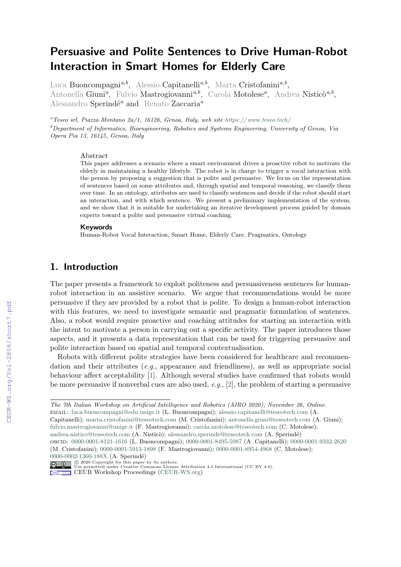# Persuasive and Polite Sentences to Drive Human-Robot Interaction in Smart Homes for Elderly Care

Luca Buoncompagni<sup>a,b</sup>, Alessio Capitanelli<sup>a,b</sup>, Marta Cristofanini<sup>a,b</sup>, Antonella Giuni<sup>a</sup>, Fulvio Mastrogiovanni<sup>a,b</sup>, Carola Motolese<sup>a</sup>, Andrea Nisticò<sup>a,b</sup>, Alessandro Sperindé<sup>a</sup> and Renato Zaccaria<sup>a</sup>

<sup>a</sup>Teseo srl, Piazza Montano 2a/1, 16126, Genoa, Italy, web site https://www.teseo.tech/  $b$  Department of Informatics, Bioengineering, Robotics and Systems Engineering, University of Genoa, Via Opera Pia 13, 16145, Genoa, Italy

#### Abstract

This paper addresses a scenario where a smart environment drives a proactive robot to motivate the elderly in maintaining a healthy lifestyle. The robot is in charge to trigger a vocal interaction with the person by proposing a suggestion that is polite and persuasive. We focus on the representation of sentences based on some attributes and, through spatial and temporal reasoning, we classify them over time. In an ontology, attributes are used to classify sentences and decide if the robot should start an interaction, and with which sentence. We present a preliminary implementation of the system, and we show that it is suitable for undertaking an iterative development process guided by domain experts toward a polite and persuasive virtual coaching.

#### Keywords

Human-Robot Vocal Interaction, Smart Home, Elderly Care, Pragmatics, Ontology

### 1. Introduction

The paper presents a framework to exploit politeness and persuasiveness sentences for humanrobot interaction in an assistive scenario. We argue that recommendations would be more persuasive if they are provided by a robot that is polite. To design a human-robot interaction with this features, we need to investigate semantic and pragmatic formulation of sentences. Also, a robot would require proactive and coaching attitudes for starting an interaction with the intent to motivate a person in carrying out a specific activity. The paper introduces those aspects, and it presents a data representation that can be used for triggering persuasive and polite interaction based on spatial and temporal contextualisation.

Robots with different polite strategies have been considered for healthcare and recommendation and their attributes (e.g., appearance and friendliness), as well as appropriate social behaviour affect acceptability [\[1\]](#page--1-0). Although several studies have confirmed that robots would be more persuasive if nonverbal cues are also used, e.g., [\[2\]](#page--1-1), the problem of starting a persuasive

email: [luca.buoncompagni@edu.unige.it](mailto:luca.buoncompagni@edu.unige.it) (L. Buoncompagni); [alessio.capitanelli@teseotech.com](mailto:alessio.capitanelli@teseotech.com) (A.

[fulvio.mastrogiovanni@unige.it](mailto:fulvio.mastrogiovanni@unige.it) (F. Mastrogiovanni); [carola.motolese@teseotech.com](mailto:carola.motolese@teseotech.com) (C. Motolese);

- [andrea.nistico@teseotech.com](mailto:andrea.nistico@teseotech.com) (A. Nisticò); [alessandro.sperinde@teseotech.com](mailto:alessandro.sperinde@teseotech.com) (A. Sperindé)
- orcid: [0000-0001-8121-1616](https://orcid.org/0000-0001-8121-1616) (L. Buoncompagni); [0000-0001-8495-5987](https://orcid.org/0000-0001-8495-5987) (A. Capitanelli); [0000-0001-9332-2620](https://orcid.org/0000-0001-9332-2620) (M. Cristofanini); [0000-0001-5913-1898](https://orcid.org/0000-0001-5913-1898) (F. Mastrogiovanni); [0000-0001-8954-4968](https://orcid.org/0000-0001-8954-4968) (C. Motolese); [0000-0002-1360-188X](https://orcid.org/0000-0002-1360-188X) (A. Sperindé)

⃝c 2020 Copyright for this paper by its authors. Use permitted under Creative Commons License Attribution 4.0 International (CC BY 4.0).

CEUR Workshop [Proceedings](http://ceur-ws.org) [\(CEUR-WS.org\)](http://ceur-ws.org)

The 7th Italian Workshop on Artificial Intelligence and Robotics (AIRO 2020), November 26, Online.

Capitanelli); [marta.cristofanini@teseotech.com](mailto:marta.cristofanini@teseotech.com) (M. Cristofanini); [antonella.giuni@teseotech.com](mailto:antonella.giuni@teseotech.com) (A. Giuni);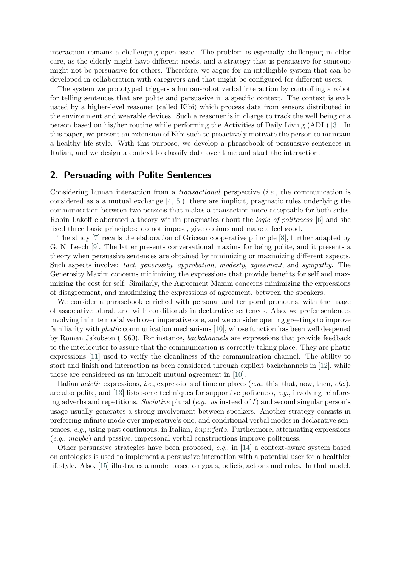interaction remains a challenging open issue. The problem is especially challenging in elder care, as the elderly might have different needs, and a strategy that is persuasive for someone might not be persuasive for others. Therefore, we argue for an intelligible system that can be developed in collaboration with caregivers and that might be configured for different users.

The system we prototyped triggers a human-robot verbal interaction by controlling a robot for telling sentences that are polite and persuasive in a specific context. The context is evaluated by a higher-level reasoner (called Kibi) which process data from sensors distributed in the environment and wearable devices. Such a reasoner is in charge to track the well being of a person based on his/her routine while performing the Activities of Daily Living (ADL) [\[3\]](#page-4-0). In this paper, we present an extension of Kibi such to proactively motivate the person to maintain a healthy life style. With this purpose, we develop a phrasebook of persuasive sentences in Italian, and we design a context to classify data over time and start the interaction.

### 2. Persuading with Polite Sentences

Considering human interaction from a *transactional* perspective  $(i.e.,$  the communication is considered as a a mutual exchange  $[4, 5]$  $[4, 5]$  $[4, 5]$ , there are implicit, pragmatic rules underlying the communication between two persons that makes a transaction more acceptable for both sides. Robin Lakoff elaborated a theory within pragmatics about the logic of politeness [\[6\]](#page-5-2) and she fixed three basic principles: do not impose, give options and make a feel good.

The study [\[7\]](#page-5-3) recalls the elaboration of Gricean cooperative principle [\[8\]](#page-5-4), further adapted by G. N. Leech [\[9\]](#page-5-5). The latter presents conversational maxims for being polite, and it presents a theory when persuasive sentences are obtained by minimizing or maximizing different aspects. Such aspects involve: tact, generosity, approbation, modesty, agreement, and sympathy. The Generosity Maxim concerns minimizing the expressions that provide benefits for self and maximizing the cost for self. Similarly, the Agreement Maxim concerns minimizing the expressions of disagreement, and maximizing the expressions of agreement, between the speakers.

We consider a phrasebook enriched with personal and temporal pronouns, with the usage of associative plural, and with conditionals in declarative sentences. Also, we prefer sentences involving infinite modal verb over imperative one, and we consider opening greetings to improve familiarity with phatic communication mechanisms [\[10\]](#page-5-6), whose function has been well deepened by Roman Jakobson (1960). For instance, backchannels are expressions that provide feedback to the interlocutor to assure that the communication is correctly taking place. They are phatic expressions [\[11\]](#page-5-7) used to verify the cleanliness of the communication channel. The ability to start and finish and interaction as been considered through explicit backchannels in [\[12\]](#page-5-8), while those are considered as an implicit mutual agreement in [\[10\]](#page-5-6).

Italian deictic expressions, i.e., expressions of time or places (e.g., this, that, now, then, etc.), are also polite, and  $[13]$  lists some techniques for supportive politeness, e.g., involving reinforcing adverbs and repetitions. Sociative plural (e.g., us instead of I) and second singular person's usage usually generates a strong involvement between speakers. Another strategy consists in preferring infinite mode over imperative's one, and conditional verbal modes in declarative sentences, e.g., using past continuous; in Italian, imperfetto. Furthermore, attenuating expressions (e.g., maybe) and passive, impersonal verbal constructions improve politeness.

Other persuasive strategies have been proposed, e.g., in [\[14\]](#page-5-10) a context-aware system based on ontologies is used to implement a persuasive interaction with a potential user for a healthier lifestyle. Also, [\[15\]](#page-5-11) illustrates a model based on goals, beliefs, actions and rules. In that model,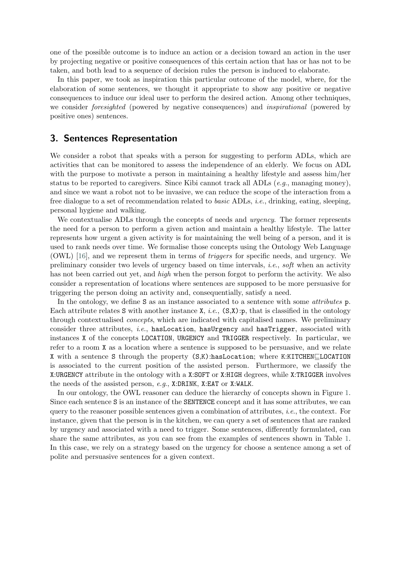one of the possible outcome is to induce an action or a decision toward an action in the user by projecting negative or positive consequences of this certain action that has or has not to be taken, and both lead to a sequence of decision rules the person is induced to elaborate.

In this paper, we took as inspiration this particular outcome of the model, where, for the elaboration of some sentences, we thought it appropriate to show any positive or negative consequences to induce our ideal user to perform the desired action. Among other techniques, we consider foresighted (powered by negative consequences) and inspirational (powered by positive ones) sentences.

### 3. Sentences Representation

We consider a robot that speaks with a person for suggesting to perform ADLs, which are activities that can be monitored to assess the independence of an elderly. We focus on ADL with the purpose to motivate a person in maintaining a healthy lifestyle and assess him/her status to be reported to caregivers. Since Kibi cannot track all ADLs  $(e.a., \text{ managing money})$ , and since we want a robot not to be invasive, we can reduce the scope of the interaction from a free dialogue to a set of recommendation related to basic ADLs, i.e., drinking, eating, sleeping, personal hygiene and walking.

We contextualise ADLs through the concepts of needs and *urgency*. The former represents the need for a person to perform a given action and maintain a healthy lifestyle. The latter represents how urgent a given activity is for maintaining the well being of a person, and it is used to rank needs over time. We formalise those concepts using the Ontology Web Language (OWL) [\[16\]](#page-5-12), and we represent them in terms of triggers for specific needs, and urgency. We preliminary consider two levels of urgency based on time intervals, i.e., soft when an activity has not been carried out yet, and *high* when the person forgot to perform the activity. We also consider a representation of locations where sentences are supposed to be more persuasive for triggering the person doing an activity and, consequentially, satisfy a need.

In the ontology, we define S as an instance associated to a sentence with some *attributes* p. Each attribute relates S with another instance  $X$ , *i.e.*,  $(S,X)$ :p, that is classified in the ontology through contextualised concepts, which are indicated with capitalised names. We preliminary consider three attributes, *i.e.*, hasLocation, hasUrgency and hasTrigger, associated with instances X of the concepts LOCATION, URGENCY and TRIGGER respectively. In particular, we refer to a room X as a location where a sentence is supposed to be persuasive, and we relate X with a sentence S through the property (S,K):hasLocation; where K:KITCHEN⊑LOCATION is associated to the current position of the assisted person. Furthermore, we classify the X:URGENCY attribute in the ontology with a X:SOFT or X:HIGH degrees, while X:TRIGGER involves the needs of the assisted person, e.g., X:DRINK, X:EAT or X:WALK.

In our ontology, the OWL reasoner can deduce the hierarchy of concepts shown in Figure [1.](#page-4-1) Since each sentence S is an instance of the SENTENCE concept and it has some attributes, we can query to the reasoner possible sentences given a combination of attributes, i.e., the context. For instance, given that the person is in the kitchen, we can query a set of sentences that are ranked by urgency and associated with a need to trigger. Some sentences, differently formulated, can share the same attributes, as you can see from the examples of sentences shown in Table [1.](#page-4-2) In this case, we rely on a strategy based on the urgency for choose a sentence among a set of polite and persuasive sentences for a given context.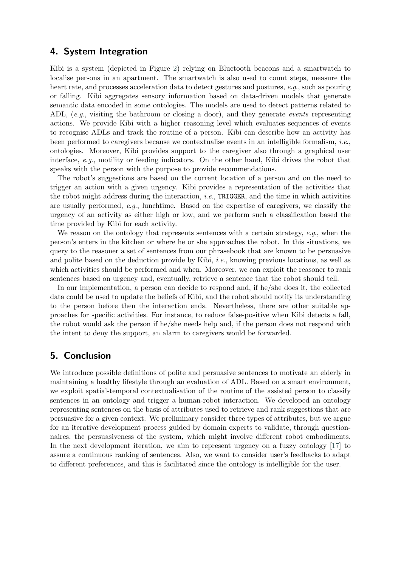# 4. System Integration

Kibi is a system (depicted in Figure [2\)](#page-4-1) relying on Bluetooth beacons and a smartwatch to localise persons in an apartment. The smartwatch is also used to count steps, measure the heart rate, and processes acceleration data to detect gestures and postures, e.g., such as pouring or falling. Kibi aggregates sensory information based on data-driven models that generate semantic data encoded in some ontologies. The models are used to detect patterns related to ADL, (e.g., visiting the bathroom or closing a door), and they generate events representing actions. We provide Kibi with a higher reasoning level which evaluates sequences of events to recognise ADLs and track the routine of a person. Kibi can describe how an activity has been performed to caregivers because we contextualise events in an intelligible formalism, *i.e.*, ontologies. Moreover, Kibi provides support to the caregiver also through a graphical user interface, e.g., motility or feeding indicators. On the other hand, Kibi drives the robot that speaks with the person with the purpose to provide recommendations.

The robot's suggestions are based on the current location of a person and on the need to trigger an action with a given urgency. Kibi provides a representation of the activities that the robot might address during the interaction, *i.e.*, TRIGGER, and the time in which activities are usually performed, e.g., lunchtime. Based on the expertise of caregivers, we classify the urgency of an activity as either high or low, and we perform such a classification based the time provided by Kibi for each activity.

We reason on the ontology that represents sentences with a certain strategy,  $e.g.,$  when the person's enters in the kitchen or where he or she approaches the robot. In this situations, we query to the reasoner a set of sentences from our phrasebook that are known to be persuasive and polite based on the deduction provide by Kibi, i.e., knowing previous locations, as well as which activities should be performed and when. Moreover, we can exploit the reasoner to rank sentences based on urgency and, eventually, retrieve a sentence that the robot should tell.

In our implementation, a person can decide to respond and, if he/she does it, the collected data could be used to update the beliefs of Kibi, and the robot should notify its understanding to the person before then the interaction ends. Nevertheless, there are other suitable approaches for specific activities. For instance, to reduce false-positive when Kibi detects a fall, the robot would ask the person if he/she needs help and, if the person does not respond with the intent to deny the support, an alarm to caregivers would be forwarded.

# 5. Conclusion

We introduce possible definitions of polite and persuasive sentences to motivate an elderly in maintaining a healthy lifestyle through an evaluation of ADL. Based on a smart environment, we exploit spatial-temporal contextualisation of the routine of the assisted person to classify sentences in an ontology and trigger a human-robot interaction. We developed an ontology representing sentences on the basis of attributes used to retrieve and rank suggestions that are persuasive for a given context. We preliminary consider three types of attributes, but we argue for an iterative development process guided by domain experts to validate, through questionnaires, the persuasiveness of the system, which might involve different robot embodiments. In the next development iteration, we aim to represent urgency on a fuzzy ontology [\[17\]](#page-5-13) to assure a continuous ranking of sentences. Also, we want to consider user's feedbacks to adapt to different preferences, and this is facilitated since the ontology is intelligible for the user.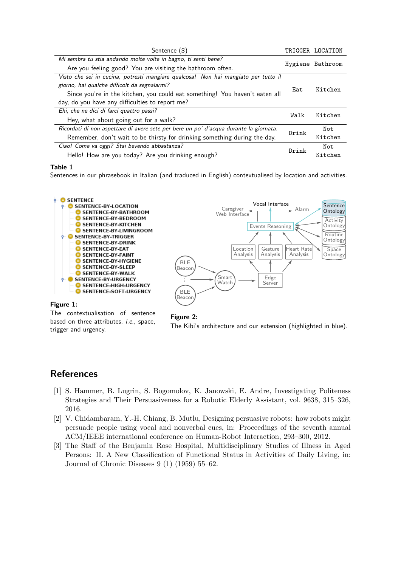<span id="page-4-2"></span>

| Sentence (S)                                                                          |       | TRIGGER LOCATION |
|---------------------------------------------------------------------------------------|-------|------------------|
| Mi sembra tu stia andando molte volte in bagno, ti senti bene?                        |       | Hygiene Bathroom |
| Are you feeling good? You are visiting the bathroom often.                            |       |                  |
| Visto che sei in cucina, potresti mangiare qualcosa! Non hai mangiato per tutto il    | Eat   | Kitchen          |
| giorno, hai qualche difficolt da segnalarmi?                                          |       |                  |
| Since you're in the kitchen, you could eat something! You haven't eaten all           |       |                  |
| day, do you have any difficulties to report me?                                       |       |                  |
| Ehi, che ne dici di farci quattro passi?                                              | Walk  | Kitchen          |
| Hey, what about going out for a walk?                                                 |       |                  |
| Ricordati di non aspettare di avere sete per bere un po' d'acqua durante la giornata. | Drink | Not.             |
| Remember, don't wait to be thirsty for drinking something during the day.             |       | Kitchen          |
| Ciao! Come va oggi? Stai bevendo abbastanza?                                          | Drink | Not.             |
| Hello! How are you today? Are you drinking enough?                                    |       | Kitchen          |

### Table 1

Sentences in our phrasebook in Italian (and traduced in English) contextualised by location and activities.

<span id="page-4-1"></span>

#### Figure 1:

The contextualisation of sentence based on three attributes, *i.e.*, space, trigger and urgency.



# **References**

- [1] S. Hammer, B. Lugrin, S. Bogomolov, K. Janowski, E. Andre, Investigating Politeness Strategies and Their Persuasiveness for a Robotic Elderly Assistant, vol. 9638, 315–326, 2016.
- [2] V. Chidambaram, Y.-H. Chiang, B. Mutlu, Designing persuasive robots: how robots might persuade people using vocal and nonverbal cues, in: Proceedings of the seventh annual ACM/IEEE international conference on Human-Robot Interaction, 293–300, 2012.
- <span id="page-4-0"></span>[3] The Staff of the Benjamin Rose Hospital, Multidisciplinary Studies of Illness in Aged Persons: II. A New Classification of Functional Status in Activities of Daily Living, in: Journal of Chronic Diseases 9 (1) (1959) 55–62.